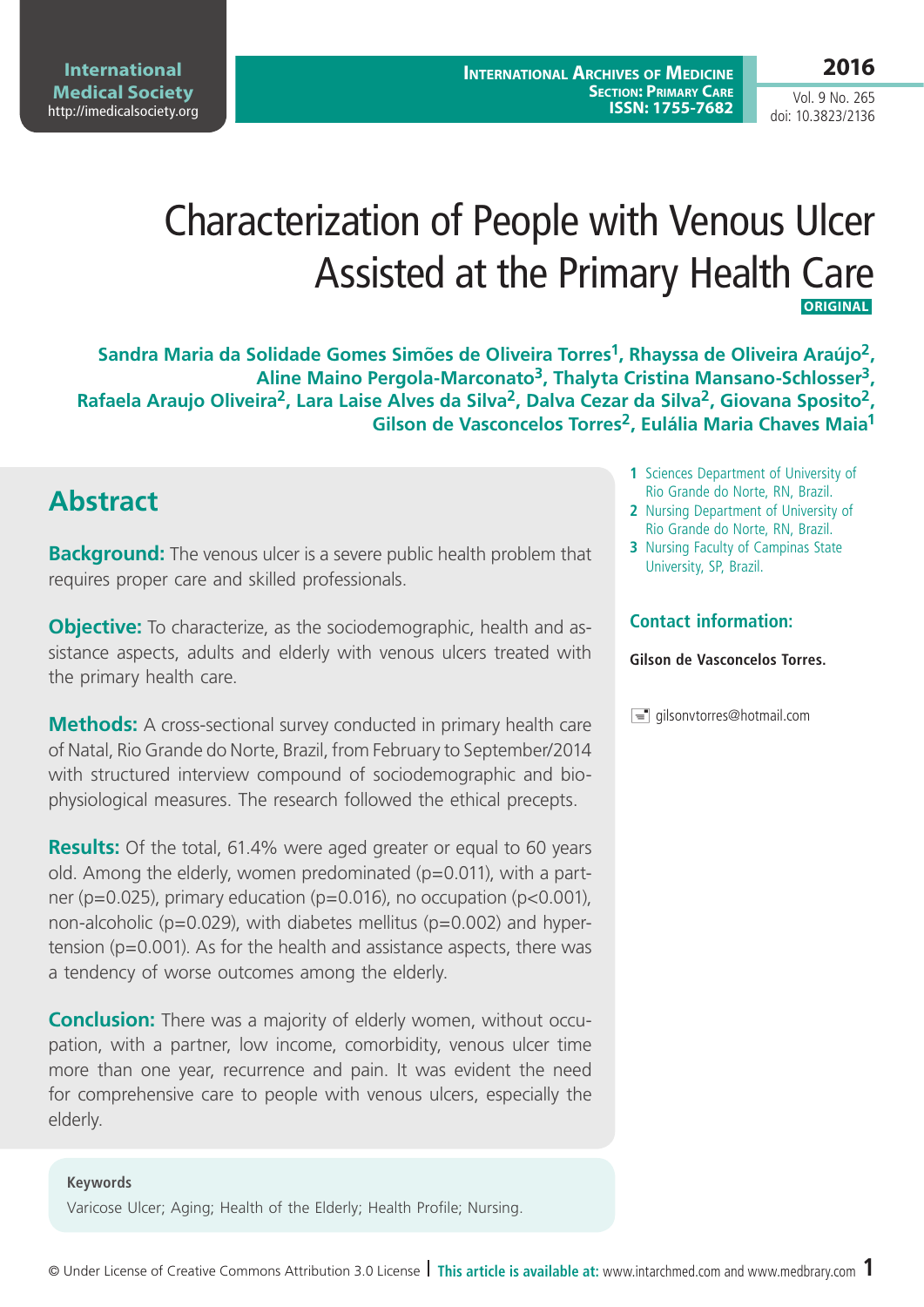# Characterization of People with Venous Ulcer Assisted at the Primary Health Care  **ORIGINAL**

**Sandra Maria da Solidade Gomes Simões de Oliveira Torres1, Rhayssa de Oliveira Araújo2, Aline Maino Pergola-Marconato3, Thalyta Cristina Mansano-Schlosser3,**  Rafaela Araujo Oliveira<sup>2</sup>, Lara Laise Alves da Silva<sup>2</sup>, Dalva Cezar da Silva<sup>2</sup>, Giovana Sposito<sup>2</sup>, **Gilson de Vasconcelos Torres2, Eulália Maria Chaves Maia1**

## **Abstract**

**Background:** The venous ulcer is a severe public health problem that requires proper care and skilled professionals.

**Objective:** To characterize, as the sociodemographic, health and assistance aspects, adults and elderly with venous ulcers treated with the primary health care.

**Methods:** A cross-sectional survey conducted in primary health care of Natal, Rio Grande do Norte, Brazil, from February to September/2014 with structured interview compound of sociodemographic and biophysiological measures. The research followed the ethical precepts.

**Results:** Of the total, 61.4% were aged greater or equal to 60 years old. Among the elderly, women predominated ( $p=0.011$ ), with a partner (p=0.025), primary education (p=0.016), no occupation (p<0.001), non-alcoholic ( $p=0.029$ ), with diabetes mellitus ( $p=0.002$ ) and hypertension ( $p=0.001$ ). As for the health and assistance aspects, there was a tendency of worse outcomes among the elderly.

**Conclusion:** There was a majority of elderly women, without occupation, with a partner, low income, comorbidity, venous ulcer time more than one year, recurrence and pain. It was evident the need for comprehensive care to people with venous ulcers, especially the elderly.

### **Keywords**

Varicose Ulcer; Aging; Health of the Elderly; Health Profile; Nursing.

- **1** Sciences Department of University of Rio Grande do Norte, RN, Brazil.
- **2** Nursing Department of University of Rio Grande do Norte, RN, Brazil.
- **3** Nursing Faculty of Campinas State University, SP, Brazil.

### **Contact information:**

### **Gilson de Vasconcelos Torres.**

 $\equiv$  qilsonvtorres@hotmail.com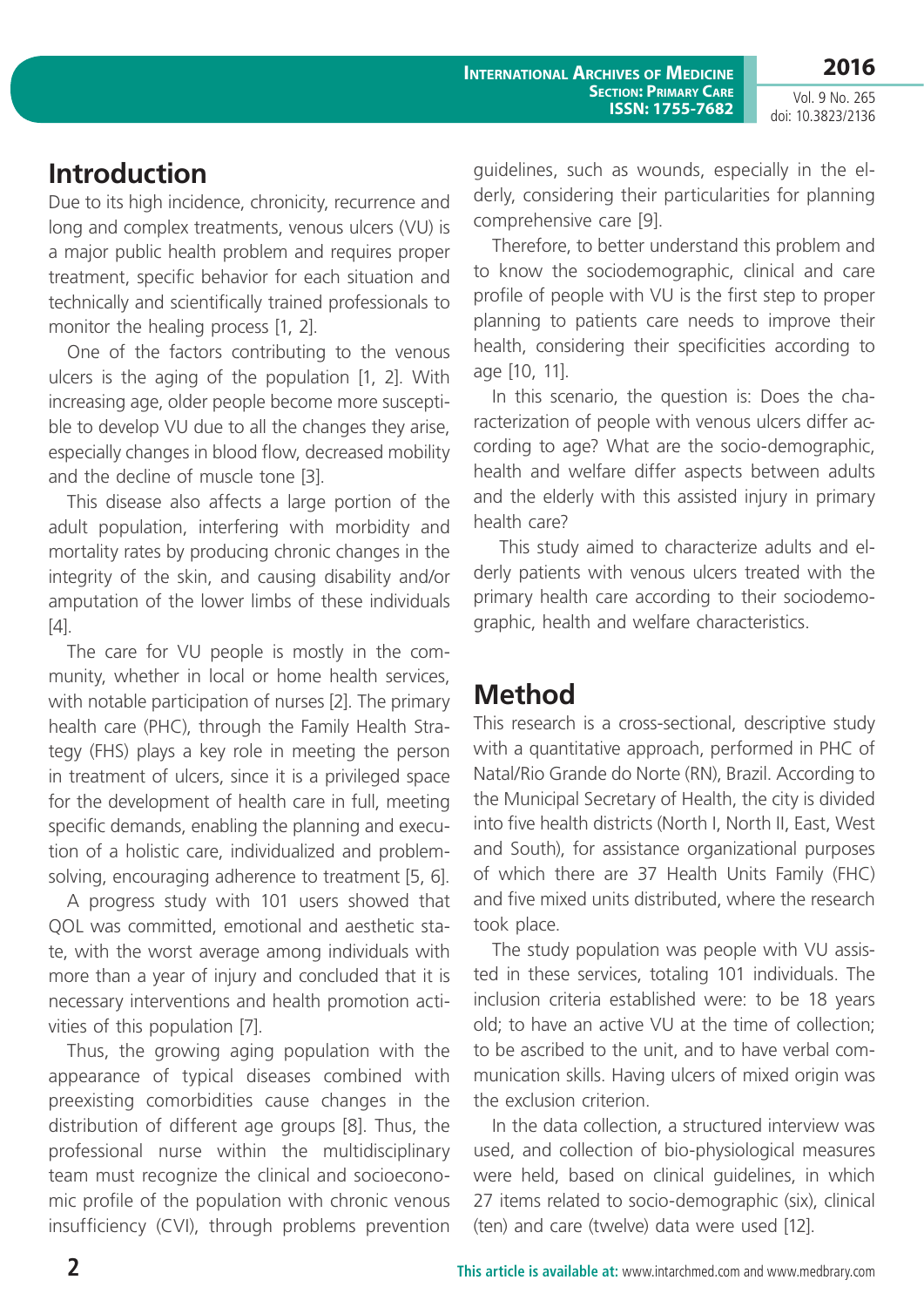## **Introduction**

Due to its high incidence, chronicity, recurrence and long and complex treatments, venous ulcers (VU) is a major public health problem and requires proper treatment, specific behavior for each situation and technically and scientifically trained professionals to monitor the healing process [1, 2].

One of the factors contributing to the venous ulcers is the aging of the population [1, 2]. With increasing age, older people become more susceptible to develop VU due to all the changes they arise, especially changes in blood flow, decreased mobility and the decline of muscle tone [3].

This disease also affects a large portion of the adult population, interfering with morbidity and mortality rates by producing chronic changes in the integrity of the skin, and causing disability and/or amputation of the lower limbs of these individuals [4].

The care for VU people is mostly in the community, whether in local or home health services, with notable participation of nurses [2]. The primary health care (PHC), through the Family Health Strategy (FHS) plays a key role in meeting the person in treatment of ulcers, since it is a privileged space for the development of health care in full, meeting specific demands, enabling the planning and execution of a holistic care, individualized and problemsolving, encouraging adherence to treatment [5, 6].

A progress study with 101 users showed that QOL was committed, emotional and aesthetic state, with the worst average among individuals with more than a year of injury and concluded that it is necessary interventions and health promotion activities of this population [7].

Thus, the growing aging population with the appearance of typical diseases combined with preexisting comorbidities cause changes in the distribution of different age groups [8]. Thus, the professional nurse within the multidisciplinary team must recognize the clinical and socioeconomic profile of the population with chronic venous insufficiency (CVI), through problems prevention guidelines, such as wounds, especially in the elderly, considering their particularities for planning comprehensive care [9].

Therefore, to better understand this problem and to know the sociodemographic, clinical and care profile of people with VU is the first step to proper planning to patients care needs to improve their health, considering their specificities according to age [10, 11].

In this scenario, the question is: Does the characterization of people with venous ulcers differ according to age? What are the socio-demographic, health and welfare differ aspects between adults and the elderly with this assisted injury in primary health care?

 This study aimed to characterize adults and elderly patients with venous ulcers treated with the primary health care according to their sociodemographic, health and welfare characteristics.

## **Method**

This research is a cross-sectional, descriptive study with a quantitative approach, performed in PHC of Natal/Rio Grande do Norte (RN), Brazil. According to the Municipal Secretary of Health, the city is divided into five health districts (North I, North II, East, West and South), for assistance organizational purposes of which there are 37 Health Units Family (FHC) and five mixed units distributed, where the research took place.

The study population was people with VU assisted in these services, totaling 101 individuals. The inclusion criteria established were: to be 18 years old; to have an active VU at the time of collection; to be ascribed to the unit, and to have verbal communication skills. Having ulcers of mixed origin was the exclusion criterion.

In the data collection, a structured interview was used, and collection of bio-physiological measures were held, based on clinical guidelines, in which 27 items related to socio-demographic (six), clinical (ten) and care (twelve) data were used [12].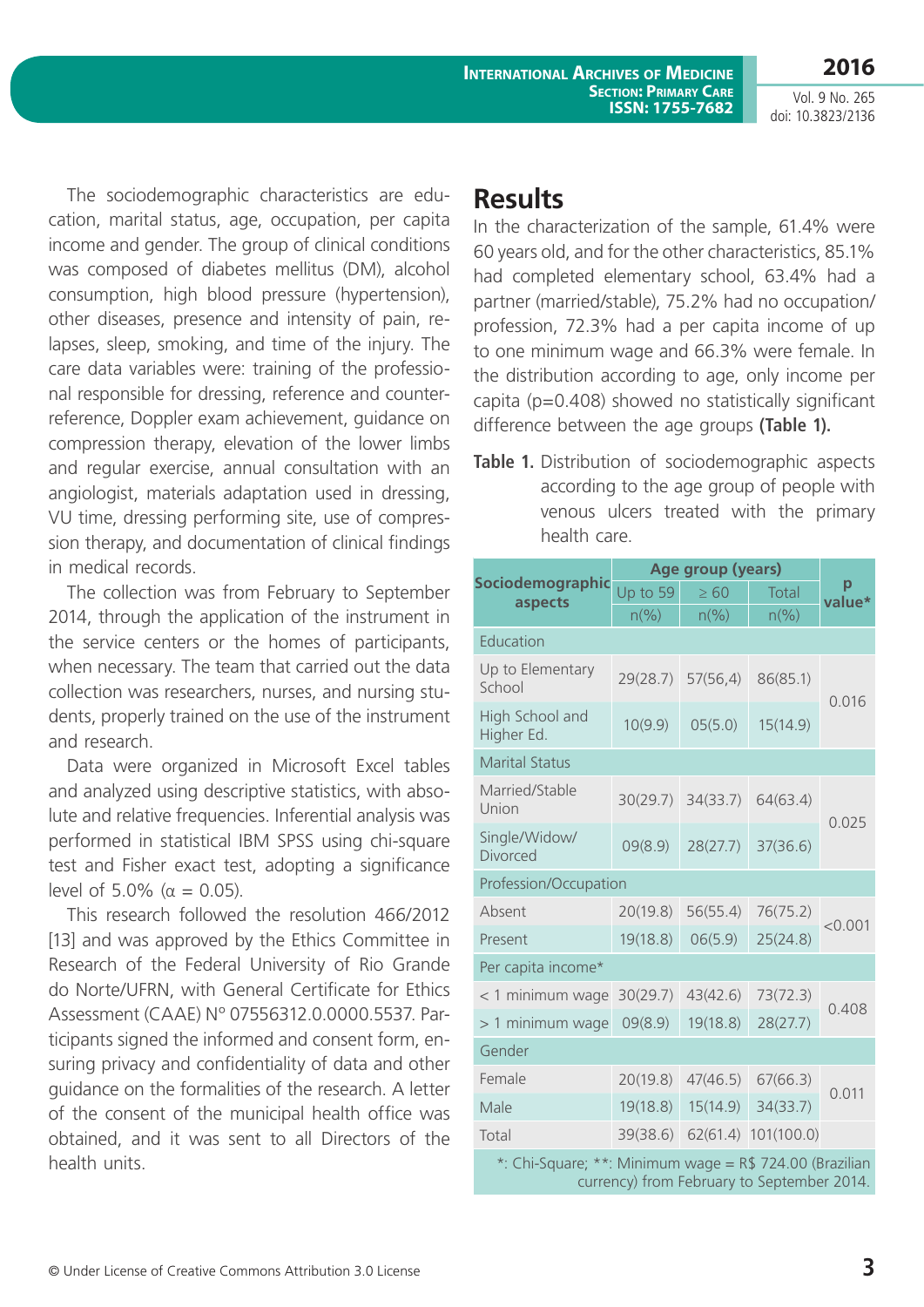**2016**

The sociodemographic characteristics are education, marital status, age, occupation, per capita income and gender. The group of clinical conditions was composed of diabetes mellitus (DM), alcohol consumption, high blood pressure (hypertension), other diseases, presence and intensity of pain, relapses, sleep, smoking, and time of the injury. The care data variables were: training of the professional responsible for dressing, reference and counterreference, Doppler exam achievement, guidance on compression therapy, elevation of the lower limbs and regular exercise, annual consultation with an angiologist, materials adaptation used in dressing, VU time, dressing performing site, use of compression therapy, and documentation of clinical findings in medical records.

The collection was from February to September 2014, through the application of the instrument in the service centers or the homes of participants, when necessary. The team that carried out the data collection was researchers, nurses, and nursing students, properly trained on the use of the instrument and research.

Data were organized in Microsoft Excel tables and analyzed using descriptive statistics, with absolute and relative frequencies. Inferential analysis was performed in statistical IBM SPSS using chi-square test and Fisher exact test, adopting a significance level of 5.0% ( $α = 0.05$ ).

This research followed the resolution 466/2012 [13] and was approved by the Ethics Committee in Research of the Federal University of Rio Grande do Norte/UFRN, with General Certificate for Ethics Assessment (CAAE) Nº 07556312.0.0000.5537. Participants signed the informed and consent form, ensuring privacy and confidentiality of data and other guidance on the formalities of the research. A letter of the consent of the municipal health office was obtained, and it was sent to all Directors of the health units.

## **Results**

In the characterization of the sample, 61.4% were 60 years old, and for the other characteristics, 85.1% had completed elementary school, 63.4% had a partner (married/stable), 75.2% had no occupation/ profession, 72.3% had a per capita income of up to one minimum wage and 66.3% were female. In the distribution according to age, only income per capita (p=0.408) showed no statistically significant difference between the age groups **(Table 1).**

**Table 1.** Distribution of sociodemographic aspects according to the age group of people with venous ulcers treated with the primary health care.

| Sociodemographic<br>aspects                                                                                  | Age group (years)           |                             |                             |             |
|--------------------------------------------------------------------------------------------------------------|-----------------------------|-----------------------------|-----------------------------|-------------|
|                                                                                                              | Up to 59                    | $\geq 60$                   | <b>Total</b>                | p<br>value* |
|                                                                                                              | $n\left(\frac{9}{6}\right)$ | $n\left(\frac{9}{6}\right)$ | $n\left(\frac{9}{6}\right)$ |             |
| Education                                                                                                    |                             |                             |                             |             |
| Up to Elementary<br>School                                                                                   | 29(28.7)                    | 57(56, 4)                   | 86(85.1)                    | 0.016       |
| High School and<br>Higher Ed.                                                                                | 10(9.9)                     | 05(5.0)                     | 15(14.9)                    |             |
| <b>Marital Status</b>                                                                                        |                             |                             |                             |             |
| Married/Stable<br>Union                                                                                      | 30(29.7)                    | 34(33.7)                    | 64(63.4)                    | 0.025       |
| Single/Widow/<br>Divorced                                                                                    | 09(8.9)                     | 28(27.7)                    | 37(36.6)                    |             |
| Profession/Occupation                                                                                        |                             |                             |                             |             |
| Absent                                                                                                       | 20(19.8)                    | 56(55.4)                    | 76(75.2)                    | < 0.001     |
| Present                                                                                                      | 19(18.8)                    | 06(5.9)                     | 25(24.8)                    |             |
| Per capita income*                                                                                           |                             |                             |                             |             |
| < 1 minimum wage                                                                                             | 30(29.7)                    | 43(42.6)                    | 73(72.3)                    |             |
| > 1 minimum wage                                                                                             | 09(8.9)                     | 19(18.8)                    | 28(27.7)                    | 0.408       |
| Gender                                                                                                       |                             |                             |                             |             |
| Female                                                                                                       | 20(19.8)                    | 47(46.5)                    | 67(66.3)                    | 0.011       |
| Male                                                                                                         | 19(18.8)                    | 15(14.9)                    | 34(33.7)                    |             |
| Total                                                                                                        | 39(38.6)                    | 62(61.4)                    | 101(100.0)                  |             |
| $\mathbf{L}$ $\mathbf{C}$ $\mathbf{L}$ $\mathbf{C}$<br>should be a finding of the co-<br>$D \uparrow 724000$ |                             |                             |                             |             |

Chi-Square; \*\*: Minimum wage =  $R$$  724.00 (Brazilian currency) from February to September 2014.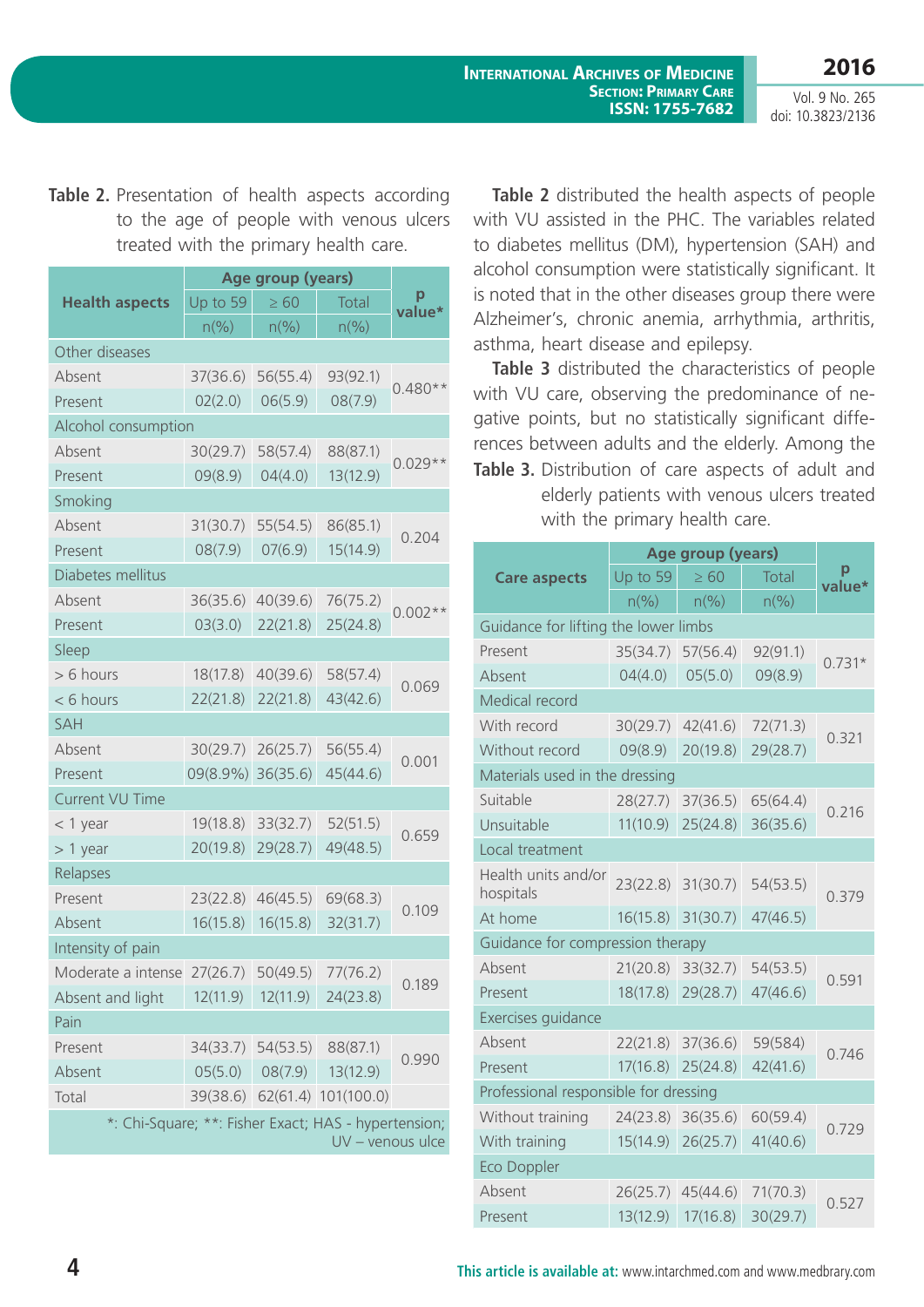Table 2. Presentation of health aspects according to the age of people with venous ulcers treated with the primary health care.

|                                                                          | Age group (years) |                             |                              |           |
|--------------------------------------------------------------------------|-------------------|-----------------------------|------------------------------|-----------|
| <b>Health aspects</b>                                                    | Up to 59          | $\geq 60$                   | Total                        | value*    |
|                                                                          | $n\frac{9}{6}$    | $n\left(\frac{9}{6}\right)$ | $n\left(\frac{9}{6}\right)$  |           |
| Other diseases                                                           |                   |                             |                              |           |
| Absent                                                                   | 37(36.6)          | 56(55.4)                    | 93(92.1)                     | $0.480**$ |
| Present                                                                  | 02(2.0)           | 06(5.9)                     | 08(7.9)                      |           |
| Alcohol consumption                                                      |                   |                             |                              |           |
| Absent                                                                   | 30(29.7)          | 58(57.4)                    | 88(87.1)                     | $0.029**$ |
| Present                                                                  | 09(8.9)           | 04(4.0)                     | 13(12.9)                     |           |
| Smoking                                                                  |                   |                             |                              |           |
| Absent                                                                   | 31(30.7)          | 55(54.5)                    | 86(85.1)                     | 0.204     |
| Present                                                                  | 08(7.9)           | 07(6.9)                     | 15(14.9)                     |           |
| Diabetes mellitus                                                        |                   |                             |                              |           |
| Absent                                                                   | 36(35.6)          | 40(39.6)                    | 76(75.2)                     | $0.002**$ |
| Present                                                                  | 03(3.0)           | 22(21.8)                    | 25(24.8)                     |           |
| Sleep                                                                    |                   |                             |                              |           |
| > 6 hours                                                                | 18(17.8)          | 40(39.6)                    | 58(57.4)                     | 0.069     |
| < 6 hours                                                                | 22(21.8)          | 22(21.8)                    | 43(42.6)                     |           |
| <b>SAH</b>                                                               |                   |                             |                              |           |
| Absent                                                                   | 30(29.7)          | 26(25.7)                    | 56(55.4)                     | 0.001     |
| Present                                                                  | 09(8.9%)          | 36(35.6)                    | 45(44.6)                     |           |
| <b>Current VU Time</b>                                                   |                   |                             |                              |           |
| $<$ 1 year                                                               | 19(18.8)          | 33(32.7)                    | 52(51.5)                     | 0.659     |
| $> 1$ year                                                               | 20(19.8)          | 29(28.7)                    | 49(48.5)                     |           |
| Relapses                                                                 |                   |                             |                              |           |
| Present                                                                  | 23(22.8)          | 46(45.5)                    | 69(68.3)                     | 0.109     |
| Absent                                                                   | 16(15.8)          | 16(15.8)                    | 32(31.7)                     |           |
| Intensity of pain                                                        |                   |                             |                              |           |
| Moderate a intense                                                       | 27(26.7)          | 50(49.5)                    | 77(76.2)                     | 0.189     |
| Absent and light                                                         | 12(11.9)          | 12(11.9)                    | 24(23.8)                     |           |
| Pain                                                                     |                   |                             |                              |           |
| Present                                                                  |                   | 34(33.7) 54(53.5)           | 88(87.1)                     | 0.990     |
| Absent                                                                   | 05(5.0)           | 08(7.9)                     | 13(12.9)                     |           |
| Total                                                                    |                   |                             | 39(38.6) 62(61.4) 101(100.0) |           |
| *: Chi-Square; **: Fisher Exact; HAS - hypertension;<br>UV - venous ulce |                   |                             |                              |           |

**Table 2** distributed the health aspects of people with VU assisted in the PHC. The variables related to diabetes mellitus (DM), hypertension (SAH) and alcohol consumption were statistically significant. It is noted that in the other diseases group there were Alzheimer's, chronic anemia, arrhythmia, arthritis, asthma, heart disease and epilepsy.

**Table 3.** Distribution of care aspects of adult and **Table 3** distributed the characteristics of people with VU care, observing the predominance of negative points, but no statistically significant differences between adults and the elderly. Among the

elderly patients with venous ulcers treated with the primary health care.

|                                       | Age group (years) |                |                |             |  |
|---------------------------------------|-------------------|----------------|----------------|-------------|--|
| <b>Care aspects</b>                   | Up to 59          | $\geq 60$      | <b>Total</b>   | р<br>value* |  |
|                                       | $n\frac{9}{6}$    | $n\frac{9}{6}$ | $n\frac{9}{6}$ |             |  |
| Guidance for lifting the lower limbs  |                   |                |                |             |  |
| Present                               | 35(34.7)          | 57(56.4)       | 92(91.1)       | $0.731*$    |  |
| Absent                                | 04(4.0)           | 05(5.0)        | 09(8.9)        |             |  |
| Medical record                        |                   |                |                |             |  |
| With record                           | 30(29.7)          | 42(41.6)       | 72(71.3)       | 0.321       |  |
| Without record                        | 09(8.9)           | 20(19.8)       | 29(28.7)       |             |  |
| Materials used in the dressing        |                   |                |                |             |  |
| Suitable                              | 28(27.7)          | 37(36.5)       | 65(64.4)       | 0.216       |  |
| Unsuitable                            | 11(10.9)          | 25(24.8)       | 36(35.6)       |             |  |
| Local treatment                       |                   |                |                |             |  |
| Health units and/or<br>hospitals      | 23(22.8)          | 31(30.7)       | 54(53.5)       | 0.379       |  |
| At home                               | 16(15.8)          | 31(30.7)       | 47(46.5)       |             |  |
| Guidance for compression therapy      |                   |                |                |             |  |
| Absent                                | 21(20.8)          | 33(32.7)       | 54(53.5)       | 0.591       |  |
| Present                               | 18(17.8)          | 29(28.7)       | 47(46.6)       |             |  |
| Exercises guidance                    |                   |                |                |             |  |
| Absent                                | 22(21.8)          | 37(36.6)       | 59(584)        | 0.746       |  |
| Present                               | 17(16.8)          | 25(24.8)       | 42(41.6)       |             |  |
| Professional responsible for dressing |                   |                |                |             |  |
| Without training                      | 24(23.8)          | 36(35.6)       | 60(59.4)       | 0.729       |  |
| With training                         | 15(14.9)          | 26(25.7)       | 41(40.6)       |             |  |
| <b>Eco Doppler</b>                    |                   |                |                |             |  |
| Absent                                | 26(25.7)          | 45(44.6)       | 71(70.3)       | 0.527       |  |
| Present                               | 13(12.9)          | 17(16.8)       | 30(29.7)       |             |  |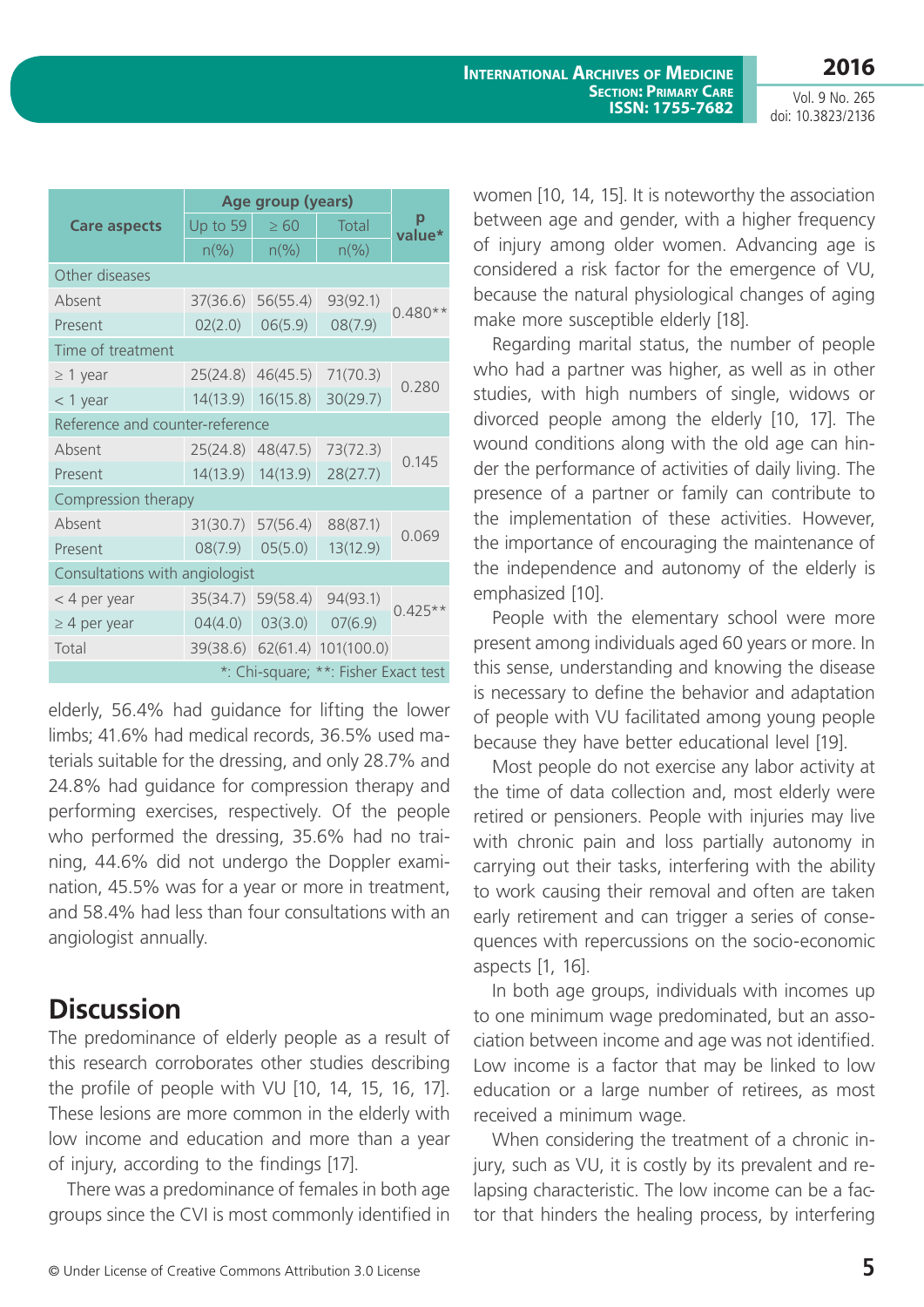doi: 10.3823/2136

|                                      | Age group (years)           |                |                             |           |
|--------------------------------------|-----------------------------|----------------|-----------------------------|-----------|
| <b>Care aspects</b>                  | Up to 59                    | $\geq 60$      | Total                       | value*    |
|                                      | $n\left(\frac{9}{6}\right)$ | $n\frac{9}{6}$ | $n\left(\frac{9}{6}\right)$ |           |
| Other diseases                       |                             |                |                             |           |
| Absent                               | 37(36.6)                    | 56(55.4)       | 93(92.1)                    | $0.480**$ |
| Present                              | 02(2.0)                     | 06(5.9)        | 08(7.9)                     |           |
| Time of treatment                    |                             |                |                             |           |
| $\geq 1$ year                        | 25(24.8)                    | 46(45.5)       | 71(70.3)                    |           |
| $<$ 1 year                           | 14(13.9)                    | 16(15.8)       | 30(29.7)                    | 0.280     |
| Reference and counter-reference      |                             |                |                             |           |
| Absent                               | 25(24.8)                    | 48(47.5)       | 73(72.3)                    |           |
| Present                              | 14(13.9)                    | 14(13.9)       | 28(27.7)                    | 0.145     |
| Compression therapy                  |                             |                |                             |           |
| Absent                               | 31(30.7)                    | 57(56.4)       | 88(87.1)                    | 0.069     |
| Present                              | 08(7.9)                     | 05(5.0)        | 13(12.9)                    |           |
| Consultations with angiologist       |                             |                |                             |           |
| < 4 per year                         | 35(34.7)                    | 59(58.4)       | 94(93.1)                    | $0.425**$ |
| $\geq$ 4 per year                    | 04(4.0)                     | 03(3.0)        | 07(6.9)                     |           |
| Total                                | 39(38.6)                    |                | 62(61.4) 101(100.0)         |           |
| *: Chi-square; **: Fisher Exact test |                             |                |                             |           |

elderly, 56.4% had guidance for lifting the lower limbs; 41.6% had medical records, 36.5% used materials suitable for the dressing, and only 28.7% and 24.8% had guidance for compression therapy and performing exercises, respectively. Of the people who performed the dressing, 35.6% had no training, 44.6% did not undergo the Doppler examination, 45.5% was for a year or more in treatment, and 58.4% had less than four consultations with an angiologist annually.

## **Discussion**

The predominance of elderly people as a result of this research corroborates other studies describing the profile of people with VU [10, 14, 15, 16, 17]. These lesions are more common in the elderly with low income and education and more than a year of injury, according to the findings [17].

There was a predominance of females in both age groups since the CVI is most commonly identified in women [10, 14, 15]. It is noteworthy the association between age and gender, with a higher frequency of injury among older women. Advancing age is considered a risk factor for the emergence of VU, because the natural physiological changes of aging make more susceptible elderly [18].

Regarding marital status, the number of people who had a partner was higher, as well as in other studies, with high numbers of single, widows or divorced people among the elderly [10, 17]. The wound conditions along with the old age can hinder the performance of activities of daily living. The presence of a partner or family can contribute to the implementation of these activities. However, the importance of encouraging the maintenance of the independence and autonomy of the elderly is emphasized [10].

People with the elementary school were more present among individuals aged 60 years or more. In this sense, understanding and knowing the disease is necessary to define the behavior and adaptation of people with VU facilitated among young people because they have better educational level [19].

Most people do not exercise any labor activity at the time of data collection and, most elderly were retired or pensioners. People with injuries may live with chronic pain and loss partially autonomy in carrying out their tasks, interfering with the ability to work causing their removal and often are taken early retirement and can trigger a series of consequences with repercussions on the socio-economic aspects [1, 16].

In both age groups, individuals with incomes up to one minimum wage predominated, but an association between income and age was not identified. Low income is a factor that may be linked to low education or a large number of retirees, as most received a minimum wage.

When considering the treatment of a chronic injury, such as VU, it is costly by its prevalent and relapsing characteristic. The low income can be a factor that hinders the healing process, by interfering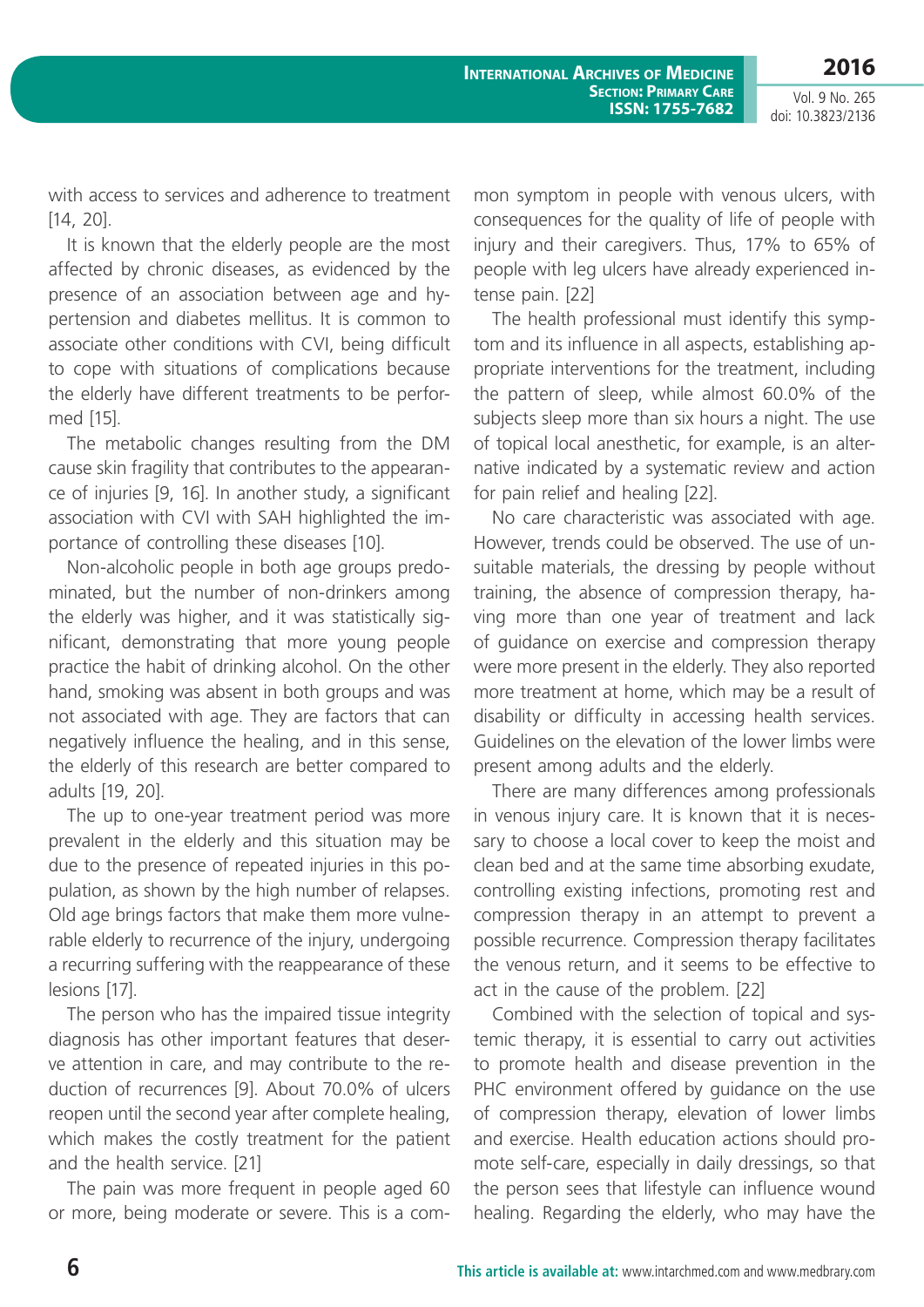**2016**

Vol. 9 No. 265 doi: 10.3823/2136

with access to services and adherence to treatment [14, 20].

It is known that the elderly people are the most affected by chronic diseases, as evidenced by the presence of an association between age and hypertension and diabetes mellitus. It is common to associate other conditions with CVI, being difficult to cope with situations of complications because the elderly have different treatments to be performed [15].

The metabolic changes resulting from the DM cause skin fragility that contributes to the appearance of injuries [9, 16]. In another study, a significant association with CVI with SAH highlighted the importance of controlling these diseases [10].

Non-alcoholic people in both age groups predominated, but the number of non-drinkers among the elderly was higher, and it was statistically significant, demonstrating that more young people practice the habit of drinking alcohol. On the other hand, smoking was absent in both groups and was not associated with age. They are factors that can negatively influence the healing, and in this sense, the elderly of this research are better compared to adults [19, 20].

The up to one-year treatment period was more prevalent in the elderly and this situation may be due to the presence of repeated injuries in this population, as shown by the high number of relapses. Old age brings factors that make them more vulnerable elderly to recurrence of the injury, undergoing a recurring suffering with the reappearance of these lesions [17].

The person who has the impaired tissue integrity diagnosis has other important features that deserve attention in care, and may contribute to the reduction of recurrences [9]. About 70.0% of ulcers reopen until the second year after complete healing, which makes the costly treatment for the patient and the health service. [21]

The pain was more frequent in people aged 60 or more, being moderate or severe. This is a common symptom in people with venous ulcers, with consequences for the quality of life of people with injury and their caregivers. Thus, 17% to 65% of people with leg ulcers have already experienced intense pain. [22]

The health professional must identify this symptom and its influence in all aspects, establishing appropriate interventions for the treatment, including the pattern of sleep, while almost 60.0% of the subjects sleep more than six hours a night. The use of topical local anesthetic, for example, is an alternative indicated by a systematic review and action for pain relief and healing [22].

No care characteristic was associated with age. However, trends could be observed. The use of unsuitable materials, the dressing by people without training, the absence of compression therapy, having more than one year of treatment and lack of guidance on exercise and compression therapy were more present in the elderly. They also reported more treatment at home, which may be a result of disability or difficulty in accessing health services. Guidelines on the elevation of the lower limbs were present among adults and the elderly.

There are many differences among professionals in venous injury care. It is known that it is necessary to choose a local cover to keep the moist and clean bed and at the same time absorbing exudate, controlling existing infections, promoting rest and compression therapy in an attempt to prevent a possible recurrence. Compression therapy facilitates the venous return, and it seems to be effective to act in the cause of the problem. [22]

Combined with the selection of topical and systemic therapy, it is essential to carry out activities to promote health and disease prevention in the PHC environment offered by quidance on the use of compression therapy, elevation of lower limbs and exercise. Health education actions should promote self-care, especially in daily dressings, so that the person sees that lifestyle can influence wound healing. Regarding the elderly, who may have the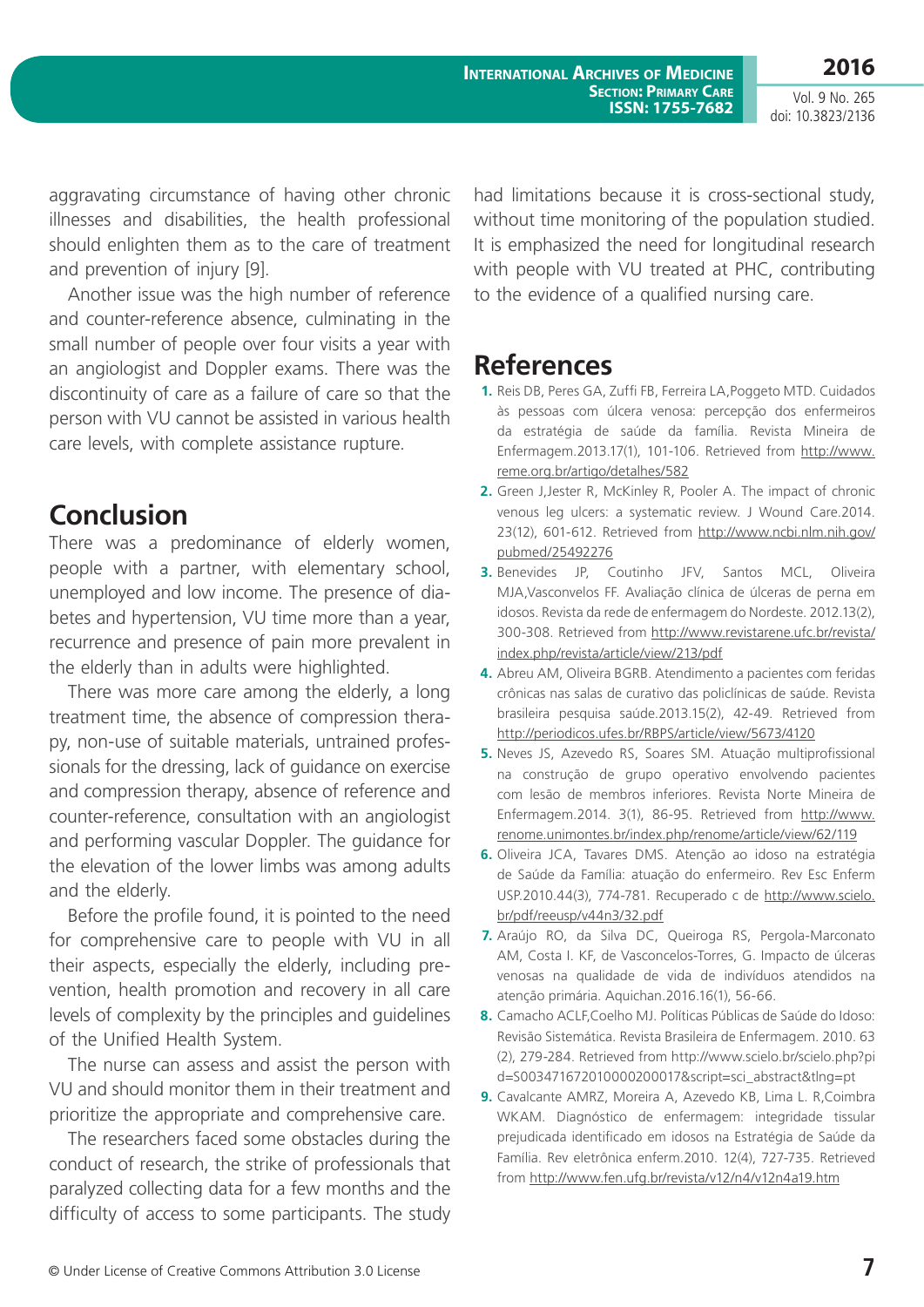aggravating circumstance of having other chronic illnesses and disabilities, the health professional should enlighten them as to the care of treatment and prevention of injury [9].

Another issue was the high number of reference and counter-reference absence, culminating in the small number of people over four visits a year with an angiologist and Doppler exams. There was the discontinuity of care as a failure of care so that the person with VU cannot be assisted in various health care levels, with complete assistance rupture.

### **Conclusion**

There was a predominance of elderly women, people with a partner, with elementary school, unemployed and low income. The presence of diabetes and hypertension, VU time more than a year, recurrence and presence of pain more prevalent in the elderly than in adults were highlighted.

There was more care among the elderly, a long treatment time, the absence of compression therapy, non-use of suitable materials, untrained professionals for the dressing, lack of guidance on exercise and compression therapy, absence of reference and counter-reference, consultation with an angiologist and performing vascular Doppler. The guidance for the elevation of the lower limbs was among adults and the elderly.

Before the profile found, it is pointed to the need for comprehensive care to people with VU in all their aspects, especially the elderly, including prevention, health promotion and recovery in all care levels of complexity by the principles and guidelines of the Unified Health System.

The nurse can assess and assist the person with VU and should monitor them in their treatment and prioritize the appropriate and comprehensive care.

The researchers faced some obstacles during the conduct of research, the strike of professionals that paralyzed collecting data for a few months and the difficulty of access to some participants. The study

had limitations because it is cross-sectional study, without time monitoring of the population studied. It is emphasized the need for longitudinal research with people with VU treated at PHC, contributing to the evidence of a qualified nursing care.

## **References**

- **1.** Reis DB, Peres GA, Zuffi FB, Ferreira LA,Poggeto MTD. Cuidados às pessoas com úlcera venosa: percepção dos enfermeiros da estratégia de saúde da família. Revista Mineira de Enfermagem.2013.17(1), 101-106. Retrieved from http://www. reme.org.br/artigo/detalhes/582
- **2.** Green J,Jester R, McKinley R, Pooler A. The impact of chronic venous leg ulcers: a systematic review. J Wound Care.2014. 23(12), 601-612. Retrieved from http://www.ncbi.nlm.nih.gov/ pubmed/25492276
- **3.** Benevides JP, Coutinho JFV, Santos MCL, Oliveira MJA,Vasconvelos FF. Avaliação clínica de úlceras de perna em idosos. Revista da rede de enfermagem do Nordeste. 2012.13(2), 300-308. Retrieved from http://www.revistarene.ufc.br/revista/ index.php/revista/article/view/213/pdf
- **4.** Abreu AM, Oliveira BGRB. Atendimento a pacientes com feridas crônicas nas salas de curativo das policlínicas de saúde. Revista brasileira pesquisa saúde.2013.15(2), 42-49. Retrieved from http://periodicos.ufes.br/RBPS/article/view/5673/4120
- **5.** Neves JS, Azevedo RS, Soares SM. Atuação multiprofissional na construção de grupo operativo envolvendo pacientes com lesão de membros inferiores. Revista Norte Mineira de Enfermagem.2014. 3(1), 86-95. Retrieved from http://www. renome.unimontes.br/index.php/renome/article/view/62/119
- **6.** Oliveira JCA, Tavares DMS. Atenção ao idoso na estratégia de Saúde da Família: atuação do enfermeiro. Rev Esc Enferm USP.2010.44(3), 774-781. Recuperado c de http://www.scielo. br/pdf/reeusp/v44n3/32.pdf
- **7.** Araújo RO, da Silva DC, Queiroga RS, Pergola-Marconato AM, Costa I. KF, de Vasconcelos-Torres, G. Impacto de úlceras venosas na qualidade de vida de indivíduos atendidos na atenção primária. Aquichan.2016.16(1), 56-66.
- **8.** Camacho ACLE Coelho MJ. Políticas Públicas de Saúde do Idoso: Revisão Sistemática. Revista Brasileira de Enfermagem. 2010. 63 (2), 279-284. Retrieved from http://www.scielo.br/scielo.php?pi d=S003471672010000200017&script=sci\_abstract&tlng=pt
- **9.** Cavalcante AMRZ, Moreira A, Azevedo KB, Lima L. R,Coimbra WKAM. Diagnóstico de enfermagem: integridade tissular prejudicada identificado em idosos na Estratégia de Saúde da Família. Rev eletrônica enferm.2010. 12(4), 727-735. Retrieved from http://www.fen.ufg.br/revista/v12/n4/v12n4a19.htm